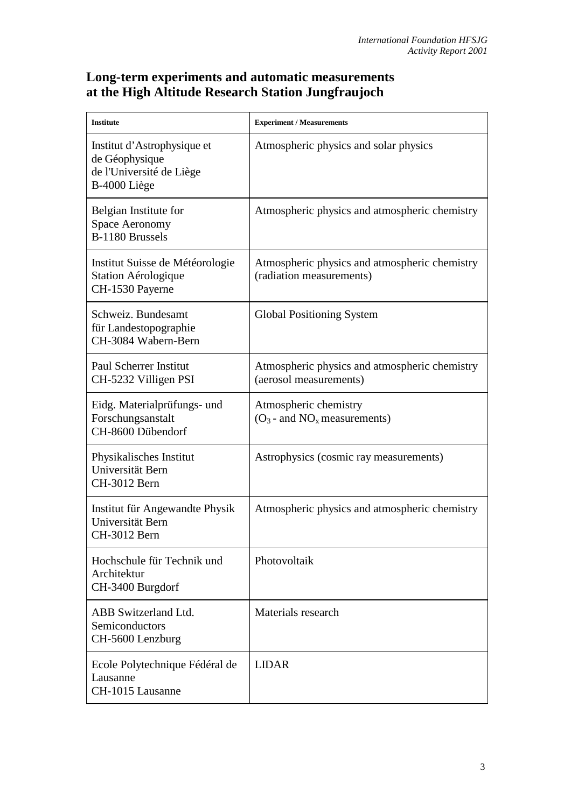## **Long-term experiments and automatic measurements at the High Altitude Research Station Jungfraujoch**

| <b>Institute</b>                                                                          | <b>Experiment / Measurements</b>                                          |
|-------------------------------------------------------------------------------------------|---------------------------------------------------------------------------|
| Institut d'Astrophysique et<br>de Géophysique<br>de l'Université de Liège<br>B-4000 Liège | Atmospheric physics and solar physics                                     |
| Belgian Institute for<br><b>Space Aeronomy</b><br>B-1180 Brussels                         | Atmospheric physics and atmospheric chemistry                             |
| Institut Suisse de Météorologie<br>Station Aérologique<br>CH-1530 Payerne                 | Atmospheric physics and atmospheric chemistry<br>(radiation measurements) |
| Schweiz. Bundesamt<br>für Landestopographie<br>CH-3084 Wabern-Bern                        | <b>Global Positioning System</b>                                          |
| <b>Paul Scherrer Institut</b><br>CH-5232 Villigen PSI                                     | Atmospheric physics and atmospheric chemistry<br>(aerosol measurements)   |
| Eidg. Materialprüfungs- und<br>Forschungsanstalt<br>CH-8600 Dübendorf                     | Atmospheric chemistry<br>$(O_3$ - and $NO_x$ measurements)                |
| Physikalisches Institut<br>Universität Bern<br>CH-3012 Bern                               | Astrophysics (cosmic ray measurements)                                    |
| Institut für Angewandte Physik<br>Universität Bern<br>CH-3012 Bern                        | Atmospheric physics and atmospheric chemistry                             |
| Hochschule für Technik und<br>Architektur<br>CH-3400 Burgdorf                             | Photovoltaik                                                              |
| ABB Switzerland Ltd.<br>Semiconductors<br>CH-5600 Lenzburg                                | Materials research                                                        |
| Ecole Polytechnique Fédéral de<br>Lausanne<br>CH-1015 Lausanne                            | <b>LIDAR</b>                                                              |